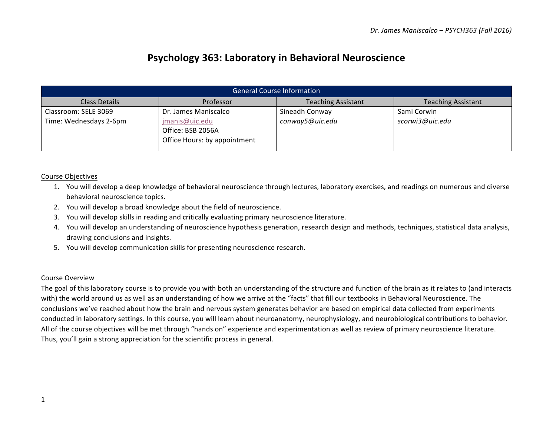# **Psychology 363: Laboratory in Behavioral Neuroscience**

| <b>General Course Information</b> |                                                                     |                           |                           |  |  |  |
|-----------------------------------|---------------------------------------------------------------------|---------------------------|---------------------------|--|--|--|
| Class Details                     | Professor                                                           | <b>Teaching Assistant</b> | <b>Teaching Assistant</b> |  |  |  |
| Classroom: SELE 3069              | Dr. James Maniscalco                                                | Sineadh Conway            | Sami Corwin               |  |  |  |
| Time: Wednesdays 2-6pm            | jmanis@uic.edu<br>Office: BSB 2056A<br>Office Hours: by appointment | conway5@uic.edu           | scorwi3@uic.edu           |  |  |  |

# Course Objectives

- 1. You will develop a deep knowledge of behavioral neuroscience through lectures, laboratory exercises, and readings on numerous and diverse behavioral neuroscience topics.
- 2. You will develop a broad knowledge about the field of neuroscience.
- 3. You will develop skills in reading and critically evaluating primary neuroscience literature.
- 4. You will develop an understanding of neuroscience hypothesis generation, research design and methods, techniques, statistical data analysis, drawing conclusions and insights.
- 5. You will develop communication skills for presenting neuroscience research.

### Course Overview

The goal of this laboratory course is to provide you with both an understanding of the structure and function of the brain as it relates to (and interacts with) the world around us as well as an understanding of how we arrive at the "facts" that fill our textbooks in Behavioral Neuroscience. The conclusions we've reached about how the brain and nervous system generates behavior are based on empirical data collected from experiments conducted in laboratory settings. In this course, you will learn about neuroanatomy, neurophysiology, and neurobiological contributions to behavior. All of the course objectives will be met through "hands on" experience and experimentation as well as review of primary neuroscience literature. Thus, you'll gain a strong appreciation for the scientific process in general.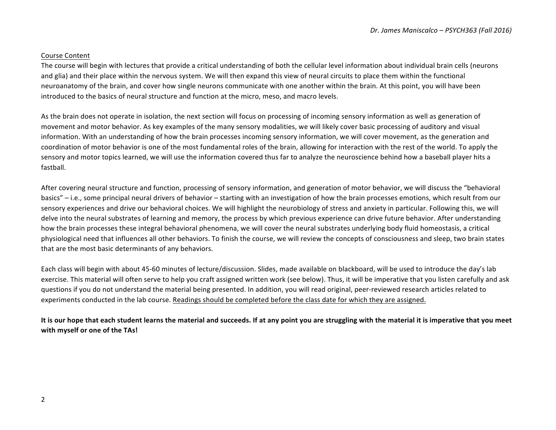#### Course Content

The course will begin with lectures that provide a critical understanding of both the cellular level information about individual brain cells (neurons and glia) and their place within the nervous system. We will then expand this view of neural circuits to place them within the functional neuroanatomy of the brain, and cover how single neurons communicate with one another within the brain. At this point, you will have been introduced to the basics of neural structure and function at the micro, meso, and macro levels.

As the brain does not operate in isolation, the next section will focus on processing of incoming sensory information as well as generation of movement and motor behavior. As key examples of the many sensory modalities, we will likely cover basic processing of auditory and visual information. With an understanding of how the brain processes incoming sensory information, we will cover movement, as the generation and coordination of motor behavior is one of the most fundamental roles of the brain, allowing for interaction with the rest of the world. To apply the sensory and motor topics learned, we will use the information covered thus far to analyze the neuroscience behind how a baseball player hits a fastball. 

After covering neural structure and function, processing of sensory information, and generation of motor behavior, we will discuss the "behavioral basics" – i.e., some principal neural drivers of behavior – starting with an investigation of how the brain processes emotions, which result from our sensory experiences and drive our behavioral choices. We will highlight the neurobiology of stress and anxiety in particular. Following this, we will delve into the neural substrates of learning and memory, the process by which previous experience can drive future behavior. After understanding how the brain processes these integral behavioral phenomena, we will cover the neural substrates underlying body fluid homeostasis, a critical physiological need that influences all other behaviors. To finish the course, we will review the concepts of consciousness and sleep, two brain states that are the most basic determinants of any behaviors.

Each class will begin with about 45-60 minutes of lecture/discussion. Slides, made available on blackboard, will be used to introduce the day's lab exercise. This material will often serve to help you craft assigned written work (see below). Thus, it will be imperative that you listen carefully and ask questions if you do not understand the material being presented. In addition, you will read original, peer-reviewed research articles related to experiments conducted in the lab course. Readings should be completed before the class date for which they are assigned.

It is our hope that each student learns the material and succeeds. If at any point you are struggling with the material it is imperative that you meet **with myself or one of the TAs!**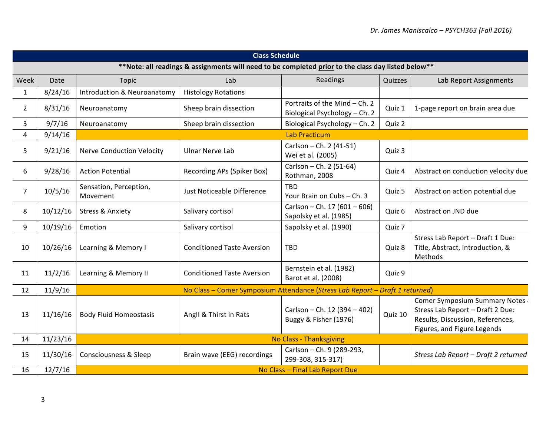| <b>Class Schedule</b>                                                                               |          |                                    |                                   |                                                                              |         |                                                                                                                                      |  |
|-----------------------------------------------------------------------------------------------------|----------|------------------------------------|-----------------------------------|------------------------------------------------------------------------------|---------|--------------------------------------------------------------------------------------------------------------------------------------|--|
| ** Note: all readings & assignments will need to be completed prior to the class day listed below** |          |                                    |                                   |                                                                              |         |                                                                                                                                      |  |
| Week                                                                                                | Date     | <b>Topic</b>                       | Lab                               | Readings                                                                     | Quizzes | Lab Report Assignments                                                                                                               |  |
| $\mathbf{1}$                                                                                        | 8/24/16  | Introduction & Neuroanatomy        | <b>Histology Rotations</b>        |                                                                              |         |                                                                                                                                      |  |
| $\overline{2}$                                                                                      | 8/31/16  | Neuroanatomy                       | Sheep brain dissection            | Portraits of the Mind - Ch. 2<br>Biological Psychology - Ch. 2               | Quiz 1  | 1-page report on brain area due                                                                                                      |  |
| 3                                                                                                   | 9/7/16   | Neuroanatomy                       | Sheep brain dissection            | Biological Psychology - Ch. 2                                                | Quiz 2  |                                                                                                                                      |  |
| 4                                                                                                   | 9/14/16  |                                    |                                   | <b>Lab Practicum</b>                                                         |         |                                                                                                                                      |  |
| 5                                                                                                   | 9/21/16  | <b>Nerve Conduction Velocity</b>   | <b>Ulnar Nerve Lab</b>            | Carlson - Ch. 2 (41-51)<br>Wei et al. (2005)                                 | Quiz 3  |                                                                                                                                      |  |
| 6                                                                                                   | 9/28/16  | <b>Action Potential</b>            | Recording APs (Spiker Box)        | Carlson - Ch. 2 (51-64)<br>Rothman, 2008                                     | Quiz 4  | Abstract on conduction velocity due                                                                                                  |  |
| 7                                                                                                   | 10/5/16  | Sensation, Perception,<br>Movement | Just Noticeable Difference        | <b>TBD</b><br>Your Brain on Cubs - Ch. 3                                     | Quiz 5  | Abstract on action potential due                                                                                                     |  |
| 8                                                                                                   | 10/12/16 | <b>Stress &amp; Anxiety</b>        | Salivary cortisol                 | Carlson - Ch. 17 (601 - 606)<br>Sapolsky et al. (1985)                       | Quiz 6  | Abstract on JND due                                                                                                                  |  |
| 9                                                                                                   | 10/19/16 | Emotion                            | Salivary cortisol                 | Sapolsky et al. (1990)                                                       | Quiz 7  |                                                                                                                                      |  |
| 10                                                                                                  | 10/26/16 | Learning & Memory I                | <b>Conditioned Taste Aversion</b> | TBD                                                                          | Quiz 8  | Stress Lab Report - Draft 1 Due:<br>Title, Abstract, Introduction, &<br>Methods                                                      |  |
| 11                                                                                                  | 11/2/16  | Learning & Memory II               | <b>Conditioned Taste Aversion</b> | Bernstein et al. (1982)<br>Barot et al. (2008)                               | Quiz 9  |                                                                                                                                      |  |
| 12                                                                                                  | 11/9/16  |                                    |                                   | No Class - Comer Symposium Attendance (Stress Lab Report - Draft 1 returned) |         |                                                                                                                                      |  |
| 13                                                                                                  | 11/16/16 | <b>Body Fluid Homeostasis</b>      | Angll & Thirst in Rats            | Carlson - Ch. 12 (394 - 402)<br>Buggy & Fisher (1976)                        | Quiz 10 | Comer Symposium Summary Notes<br>Stress Lab Report - Draft 2 Due:<br>Results, Discussion, References,<br>Figures, and Figure Legends |  |
| 14                                                                                                  | 11/23/16 |                                    | No Class - Thanksgiving           |                                                                              |         |                                                                                                                                      |  |
| 15                                                                                                  | 11/30/16 | <b>Consciousness &amp; Sleep</b>   | Brain wave (EEG) recordings       | Carlson - Ch. 9 (289-293,<br>299-308, 315-317)                               |         | Stress Lab Report - Draft 2 returned                                                                                                 |  |
| 16                                                                                                  | 12/7/16  | No Class - Final Lab Report Due    |                                   |                                                                              |         |                                                                                                                                      |  |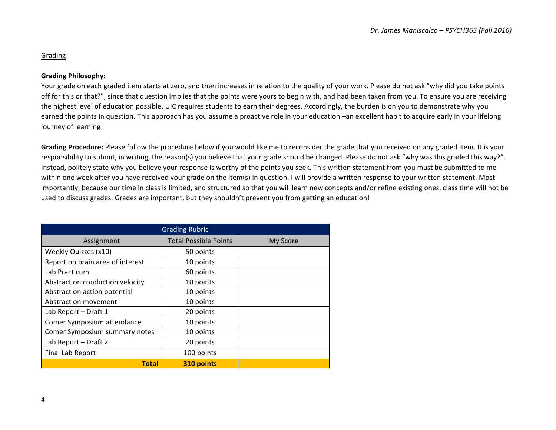# Grading

#### **Grading Philosophy:**

Your grade on each graded item starts at zero, and then increases in relation to the quality of your work. Please do not ask "why did you take points off for this or that?", since that question implies that the points were yours to begin with, and had been taken from you. To ensure you are receiving the highest level of education possible, UIC requires students to earn their degrees. Accordingly, the burden is on you to demonstrate why you earned the points in question. This approach has you assume a proactive role in your education –an excellent habit to acquire early in your lifelong journey of learning!

Grading Procedure: Please follow the procedure below if you would like me to reconsider the grade that you received on any graded item. It is your responsibility to submit, in writing, the reason(s) you believe that your grade should be changed. Please do not ask "why was this graded this way?". Instead, politely state why you believe your response is worthy of the points you seek. This written statement from you must be submitted to me within one week after you have received your grade on the item(s) in question. I will provide a written response to your written statement. Most importantly, because our time in class is limited, and structured so that you will learn new concepts and/or refine existing ones, class time will not be used to discuss grades. Grades are important, but they shouldn't prevent you from getting an education!

| <b>Grading Rubric</b>            |                              |          |  |  |  |
|----------------------------------|------------------------------|----------|--|--|--|
| Assignment                       | <b>Total Possible Points</b> | My Score |  |  |  |
| Weekly Quizzes (x10)             | 50 points                    |          |  |  |  |
| Report on brain area of interest | 10 points                    |          |  |  |  |
| Lab Practicum                    | 60 points                    |          |  |  |  |
| Abstract on conduction velocity  | 10 points                    |          |  |  |  |
| Abstract on action potential     | 10 points                    |          |  |  |  |
| Abstract on movement             | 10 points                    |          |  |  |  |
| Lab Report - Draft 1             | 20 points                    |          |  |  |  |
| Comer Symposium attendance       | 10 points                    |          |  |  |  |
| Comer Symposium summary notes    | 10 points                    |          |  |  |  |
| Lab Report - Draft 2             | 20 points                    |          |  |  |  |
| Final Lab Report                 | 100 points                   |          |  |  |  |
| <b>Total</b>                     | 310 points                   |          |  |  |  |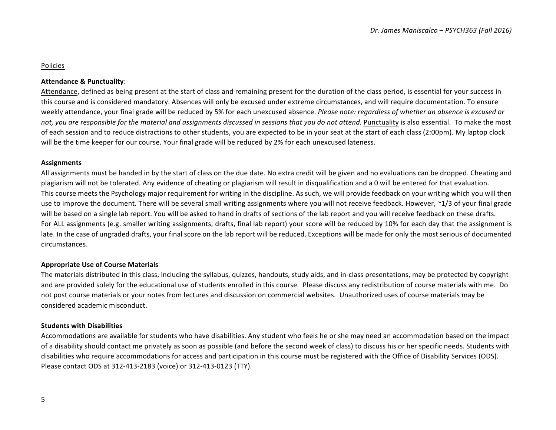# Policies

#### **Attendance & Punctuality**:

Attendance, defined as being present at the start of class and remaining present for the duration of the class period, is essential for your success in this course and is considered mandatory. Absences will only be excused under extreme circumstances, and will require documentation. To ensure weekly attendance, your final grade will be reduced by 5% for each unexcused absence. *Please note: regardless of whether an absence is excused or* not, vou are responsible for the material and assignments discussed in sessions that you do not attend. Punctuality is also essential. To make the most of each session and to reduce distractions to other students, you are expected to be in your seat at the start of each class (2:00pm). My laptop clock will be the time keeper for our course. Your final grade will be reduced by 2% for each unexcused lateness.

#### **Assignments**

All assignments must be handed in by the start of class on the due date. No extra credit will be given and no evaluations can be dropped. Cheating and plagiarism will not be tolerated. Any evidence of cheating or plagiarism will result in disqualification and a 0 will be entered for that evaluation. This course meets the Psychology major requirement for writing in the discipline. As such, we will provide feedback on your writing which you will then use to improve the document. There will be several small writing assignments where you will not receive feedback. However, ~1/3 of your final grade will be based on a single lab report. You will be asked to hand in drafts of sections of the lab report and you will receive feedback on these drafts. For ALL assignments (e.g. smaller writing assignments, drafts, final lab report) your score will be reduced by 10% for each day that the assignment is late. In the case of ungraded drafts, your final score on the lab report will be reduced. Exceptions will be made for only the most serious of documented circumstances.

### **Appropriate Use of Course Materials**

The materials distributed in this class, including the syllabus, quizzes, handouts, study aids, and in-class presentations, may be protected by copyright and are provided solely for the educational use of students enrolled in this course. Please discuss any redistribution of course materials with me. Do not post course materials or your notes from lectures and discussion on commercial websites. Unauthorized uses of course materials may be considered academic misconduct.

### **Students with Disabilities**

Accommodations are available for students who have disabilities. Any student who feels he or she may need an accommodation based on the impact of a disability should contact me privately as soon as possible (and before the second week of class) to discuss his or her specific needs. Students with disabilities who require accommodations for access and participation in this course must be registered with the Office of Disability Services (ODS). Please contact ODS at 312-413-2183 (voice) or 312-413-0123 (TTY).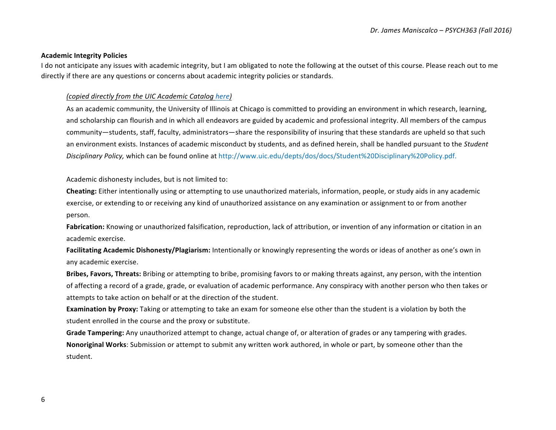#### **Academic Integrity Policies**

I do not anticipate any issues with academic integrity, but I am obligated to note the following at the outset of this course. Please reach out to me directly if there are any questions or concerns about academic integrity policies or standards.

#### *(copied directly from the UIC Academic Catalog here)*

As an academic community, the University of Illinois at Chicago is committed to providing an environment in which research, learning, and scholarship can flourish and in which all endeavors are guided by academic and professional integrity. All members of the campus community—students, staff, faculty, administrators—share the responsibility of insuring that these standards are upheld so that such an environment exists. Instances of academic misconduct by students, and as defined herein, shall be handled pursuant to the *Student* Disciplinary Policy, which can be found online at http://www.uic.edu/depts/dos/docs/Student%20Disciplinary%20Policy.pdf.

Academic dishonesty includes, but is not limited to:

**Cheating:** Either intentionally using or attempting to use unauthorized materials, information, people, or study aids in any academic exercise, or extending to or receiving any kind of unauthorized assistance on any examination or assignment to or from another person.

**Fabrication:** Knowing or unauthorized falsification, reproduction, lack of attribution, or invention of any information or citation in an academic exercise.

**Facilitating Academic Dishonesty/Plagiarism:** Intentionally or knowingly representing the words or ideas of another as one's own in any academic exercise.

**Bribes, Favors, Threats:** Bribing or attempting to bribe, promising favors to or making threats against, any person, with the intention of affecting a record of a grade, grade, or evaluation of academic performance. Any conspiracy with another person who then takes or attempts to take action on behalf or at the direction of the student.

**Examination by Proxy:** Taking or attempting to take an exam for someone else other than the student is a violation by both the student enrolled in the course and the proxy or substitute.

Grade Tampering: Any unauthorized attempt to change, actual change of, or alteration of grades or any tampering with grades. **Nonoriginal Works**: Submission or attempt to submit any written work authored, in whole or part, by someone other than the student.